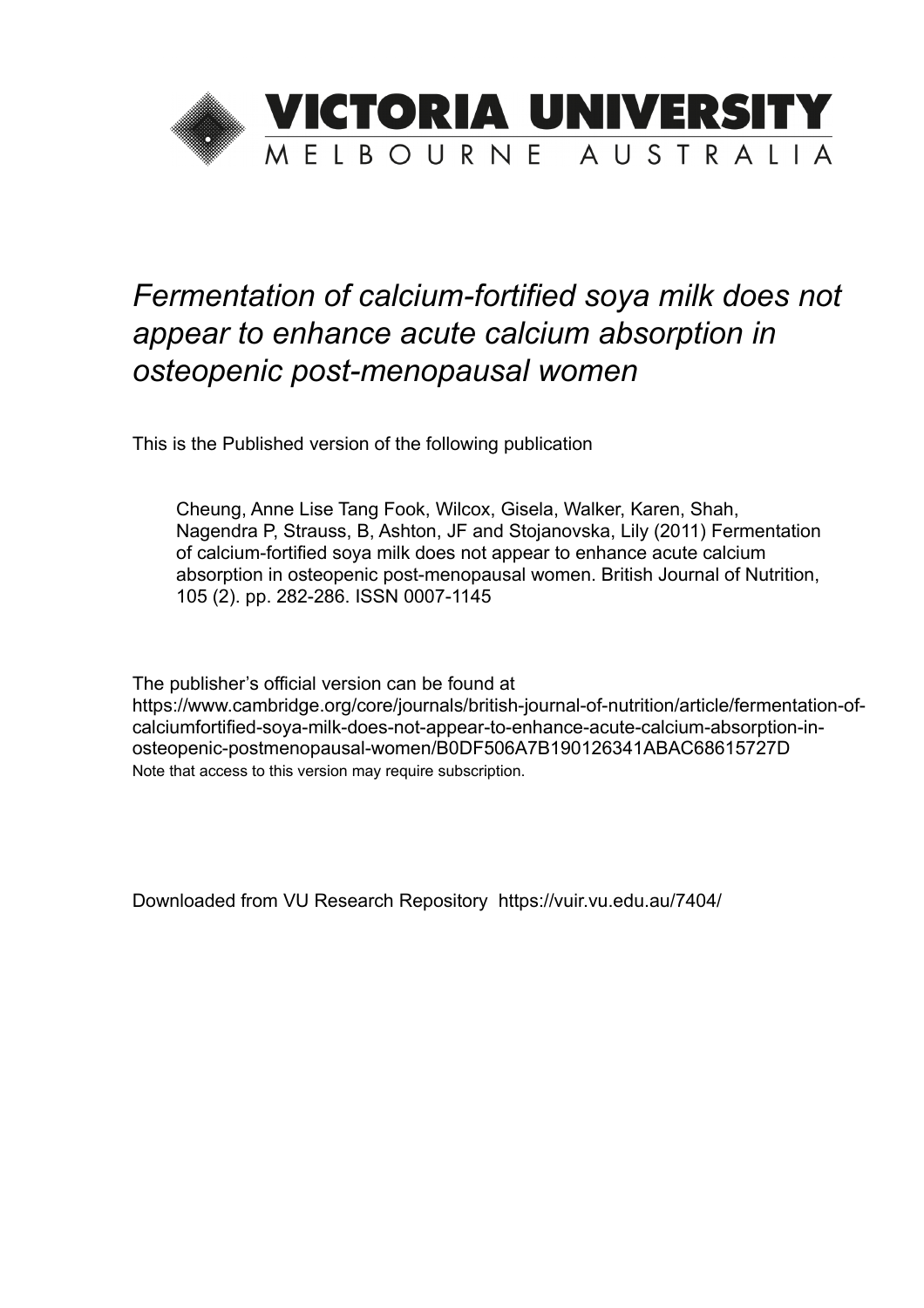

# *Fermentation of calcium-fortified soya milk does not appear to enhance acute calcium absorption in osteopenic post-menopausal women*

This is the Published version of the following publication

Cheung, Anne Lise Tang Fook, Wilcox, Gisela, Walker, Karen, Shah, Nagendra P, Strauss, B, Ashton, JF and Stojanovska, Lily (2011) Fermentation of calcium-fortified soya milk does not appear to enhance acute calcium absorption in osteopenic post-menopausal women. British Journal of Nutrition, 105 (2). pp. 282-286. ISSN 0007-1145

The publisher's official version can be found at https://www.cambridge.org/core/journals/british-journal-of-nutrition/article/fermentation-ofcalciumfortified-soya-milk-does-not-appear-to-enhance-acute-calcium-absorption-inosteopenic-postmenopausal-women/B0DF506A7B190126341ABAC68615727D Note that access to this version may require subscription.

Downloaded from VU Research Repository https://vuir.vu.edu.au/7404/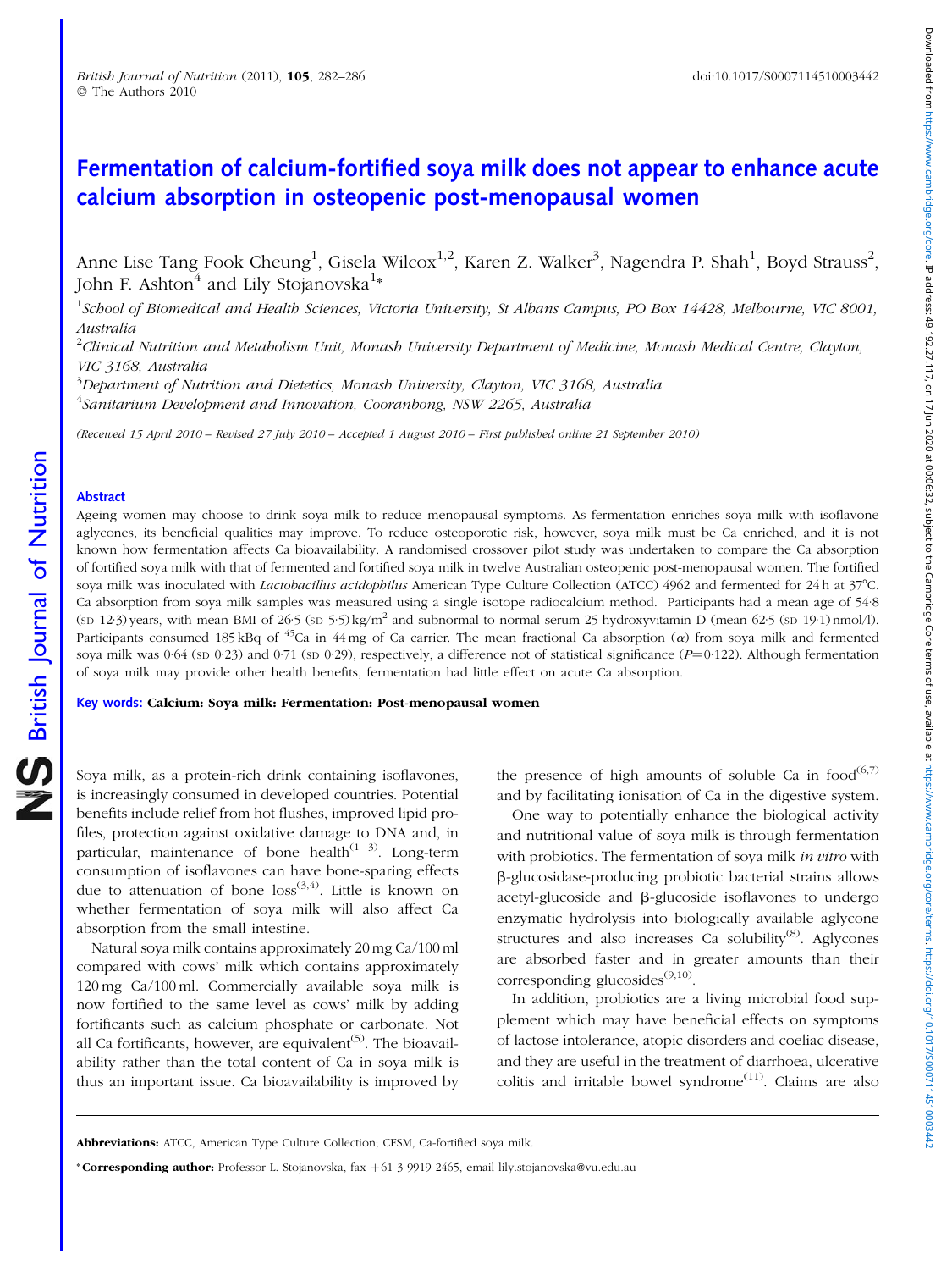## Fermentation of calcium-fortified soya milk does not appear to enhance acute calcium absorption in osteopenic post-menopausal women

Anne Lise Tang Fook Cheung $^1$ , Gisela Wilcox $^{1,2}$ , Karen Z. Walker $^3$ , Nagendra P. Shah $^1$ , Boyd Strauss $^2$ , John F. Ashton<sup>4</sup> and Lily Stojanovska<sup>1</sup>\*

<sup>1</sup>School of Biomedical and Health Sciences, Victoria University, St Albans Campus, PO Box 14428, Melbourne, VIC 8001, Australia

 $^{2}$ Clinical Nutrition and Metabolism Unit, Monash University Department of Medicine, Monash Medical Centre, Clayton, VIC 3168, Australia

 $^3$ Department of Nutrition and Dietetics, Monash University, Clayton, VIC 3168, Australia <sup>4</sup>Sanitarium Development and Innovation, Cooranbong, NSW 2265, Australia

(Received 15 April 2010 – Revised 27 July 2010 – Accepted 1 August 2010 – First published online 21 September 2010)

#### Abstract

Ageing women may choose to drink soya milk to reduce menopausal symptoms. As fermentation enriches soya milk with isoflavone aglycones, its beneficial qualities may improve. To reduce osteoporotic risk, however, soya milk must be Ca enriched, and it is not known how fermentation affects Ca bioavailability. A randomised crossover pilot study was undertaken to compare the Ca absorption of fortified soya milk with that of fermented and fortified soya milk in twelve Australian osteopenic post-menopausal women. The fortified soya milk was inoculated with *Lactobacillus acidophilus* American Type Culture Collection (ATCC) 4962 and fermented for 24 h at 37°C. Ca absorption from soya milk samples was measured using a single isotope radiocalcium method. Participants had a mean age of 54·8 (sp 12·3) years, with mean BMI of  $26·5$  (sp  $5·5$ ) kg/m<sup>2</sup> and subnormal to normal serum 25-hydroxyvitamin D (mean 62·5 (sp 19·1) nmol/l). Participants consumed 185 kBq of <sup>45</sup>Ca in 44 mg of Ca carrier. The mean fractional Ca absorption ( $\alpha$ ) from soya milk and fermented soya milk was 0.64 (sp 0.23) and 0.71 (sp 0.29), respectively, a difference not of statistical significance ( $P=0.122$ ). Although fermentation of soya milk may provide other health benefits, fermentation had little effect on acute Ca absorption.

Key words: Calcium: Soya milk: Fermentation: Post-menopausal women

Soya milk, as a protein-rich drink containing isoflavones, is increasingly consumed in developed countries. Potential benefits include relief from hot flushes, improved lipid profiles, protection against oxidative damage to DNA and, in particular, maintenance of bone health<sup> $(1-3)$ </sup>. Long-term consumption of isoflavones can have bone-sparing effects due to attenuation of bone  $loss^{(3,4)}$ . Little is known on whether fermentation of soya milk will also affect Ca absorption from the small intestine.

Natural soya milk contains approximately 20mg Ca/100ml compared with cows' milk which contains approximately 120 mg Ca/100 ml. Commercially available soya milk is now fortified to the same level as cows' milk by adding fortificants such as calcium phosphate or carbonate. Not all Ca fortificants, however, are equivalent<sup> $(5)$ </sup>. The bioavailability rather than the total content of Ca in soya milk is thus an important issue. Ca bioavailability is improved by the presence of high amounts of soluble Ca in  $food^{(6,7)}$ and by facilitating ionisation of Ca in the digestive system.

One way to potentially enhance the biological activity and nutritional value of soya milk is through fermentation with probiotics. The fermentation of soya milk in vitro with b-glucosidase-producing probiotic bacterial strains allows acetyl-glucoside and  $\beta$ -glucoside isoflavones to undergo enzymatic hydrolysis into biologically available aglycone structures and also increases Ca solubility<sup>(8)</sup>. Aglycones are absorbed faster and in greater amounts than their corresponding glucosides $^{(9,10)}$ .

In addition, probiotics are a living microbial food supplement which may have beneficial effects on symptoms of lactose intolerance, atopic disorders and coeliac disease, and they are useful in the treatment of diarrhoea, ulcerative colitis and irritable bowel syndrome<sup> $(11)$ </sup>. Claims are also

Abbreviations: ATCC, American Type Culture Collection; CFSM, Ca-fortified soya milk.

\* Corresponding author: Professor L. Stojanovska, fax +61 3 9919 2465, email lily.stojanovska@vu.edu.au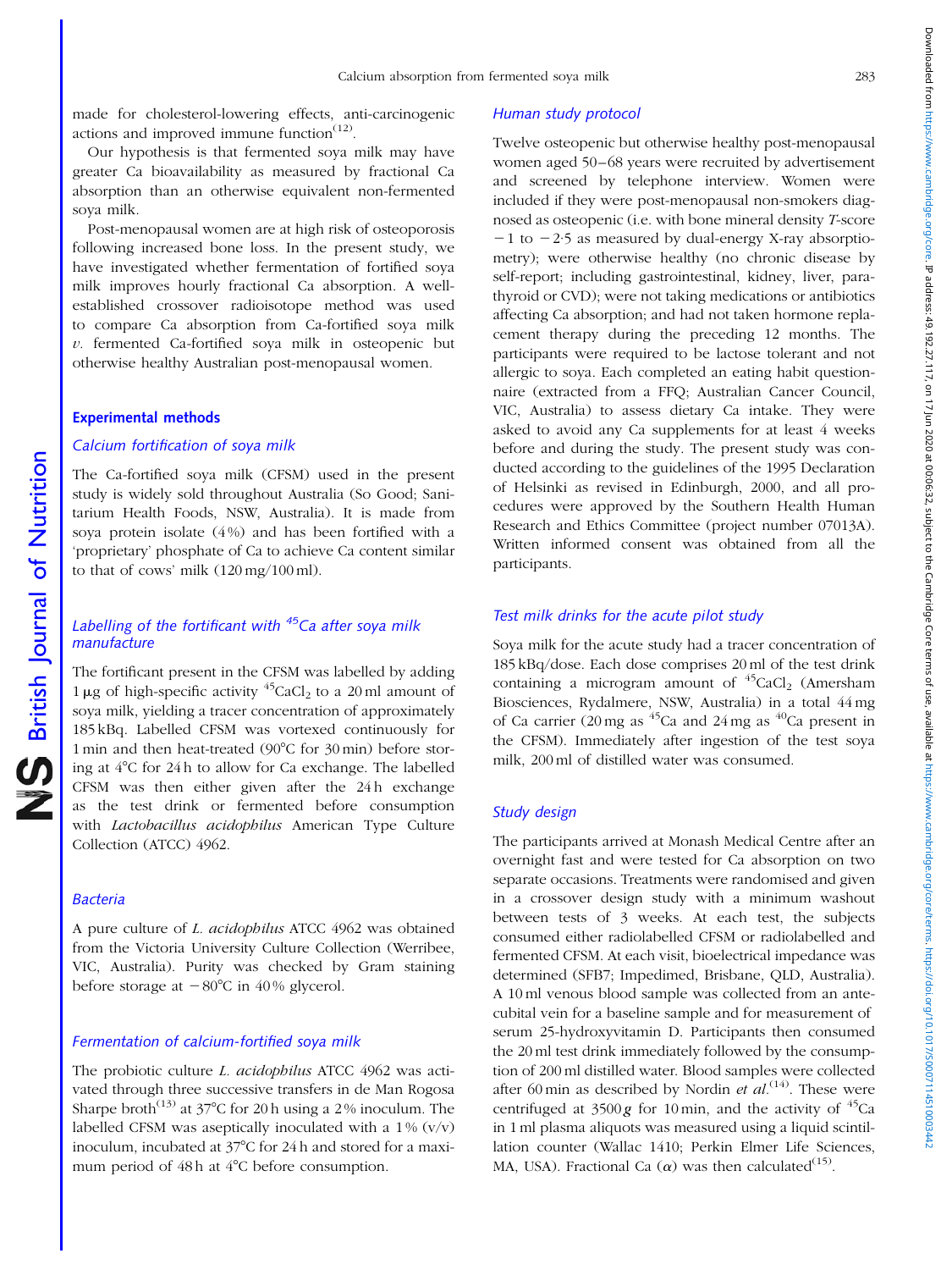made for cholesterol-lowering effects, anti-carcinogenic actions and improved immune function $(12)$ .

Our hypothesis is that fermented soya milk may have greater Ca bioavailability as measured by fractional Ca absorption than an otherwise equivalent non-fermented soya milk.

Post-menopausal women are at high risk of osteoporosis following increased bone loss. In the present study, we have investigated whether fermentation of fortified soya milk improves hourly fractional Ca absorption. A wellestablished crossover radioisotope method was used to compare Ca absorption from Ca-fortified soya milk v. fermented Ca-fortified soya milk in osteopenic but otherwise healthy Australian post-menopausal women.

#### Experimental methods

#### Calcium fortification of soya milk

The Ca-fortified soya milk (CFSM) used in the present study is widely sold throughout Australia (So Good; Sanitarium Health Foods, NSW, Australia). It is made from soya protein isolate (4 %) and has been fortified with a 'proprietary' phosphate of Ca to achieve Ca content similar to that of cows' milk (120 mg/100 ml).

### Labelling of the fortificant with  $45$ Ca after soya milk manufacture

The fortificant present in the CFSM was labelled by adding 1  $\mu$ g of high-specific activity <sup>45</sup>CaCl<sub>2</sub> to a 20 ml amount of soya milk, yielding a tracer concentration of approximately 185 kBq. Labelled CFSM was vortexed continuously for 1 min and then heat-treated ( $90^{\circ}$ C for 30 min) before storing at  $4^{\circ}$ C for 24 h to allow for Ca exchange. The labelled CFSM was then either given after the 24 h exchange as the test drink or fermented before consumption with *Lactobacillus acidophilus* American Type Culture Collection (ATCC) 4962.

#### Bacteria

British Journal of Nutrition

NS British Journal of Nutrition

A pure culture of L. acidophilus ATCC 4962 was obtained from the Victoria University Culture Collection (Werribee, VIC, Australia). Purity was checked by Gram staining before storage at  $-80^{\circ}$ C in 40% glycerol.

#### Fermentation of calcium-fortified soya milk

The probiotic culture L. acidophilus ATCC 4962 was activated through three successive transfers in de Man Rogosa Sharpe broth<sup>(13)</sup> at  $37^{\circ}$ C for 20 h using a 2% inoculum. The labelled CFSM was aseptically inoculated with a  $1\%$  (v/v) inoculum, incubated at  $37^{\circ}$ C for 24 h and stored for a maximum period of  $48 h$  at  $4^{\circ}$ C before consumption.

#### Human study protocol

Twelve osteopenic but otherwise healthy post-menopausal women aged 50–68 years were recruited by advertisement and screened by telephone interview. Women were included if they were post-menopausal non-smokers diagnosed as osteopenic (i.e. with bone mineral density T-score  $-1$  to  $-2.5$  as measured by dual-energy X-ray absorptiometry); were otherwise healthy (no chronic disease by self-report; including gastrointestinal, kidney, liver, parathyroid or CVD); were not taking medications or antibiotics affecting Ca absorption; and had not taken hormone replacement therapy during the preceding 12 months. The participants were required to be lactose tolerant and not allergic to soya. Each completed an eating habit questionnaire (extracted from a FFQ; Australian Cancer Council, VIC, Australia) to assess dietary Ca intake. They were asked to avoid any Ca supplements for at least 4 weeks before and during the study. The present study was conducted according to the guidelines of the 1995 Declaration of Helsinki as revised in Edinburgh, 2000, and all procedures were approved by the Southern Health Human Research and Ethics Committee (project number 07013A). Written informed consent was obtained from all the participants.

#### Test milk drinks for the acute pilot study

Soya milk for the acute study had a tracer concentration of 185 kBq/dose. Each dose comprises 20 ml of the test drink containing a microgram amount of  ${}^{45}$ CaCl<sub>2</sub> (Amersham Biosciences, Rydalmere, NSW, Australia) in a total 44 mg of Ca carrier (20 mg as  $45$ Ca and 24 mg as  $40$ Ca present in the CFSM). Immediately after ingestion of the test soya milk, 200 ml of distilled water was consumed.

#### Study design

The participants arrived at Monash Medical Centre after an overnight fast and were tested for Ca absorption on two separate occasions. Treatments were randomised and given in a crossover design study with a minimum washout between tests of 3 weeks. At each test, the subjects consumed either radiolabelled CFSM or radiolabelled and fermented CFSM. At each visit, bioelectrical impedance was determined (SFB7; Impedimed, Brisbane, QLD, Australia). A 10 ml venous blood sample was collected from an antecubital vein for a baseline sample and for measurement of serum 25-hydroxyvitamin D. Participants then consumed the 20 ml test drink immediately followed by the consumption of 200 ml distilled water. Blood samples were collected after 60 min as described by Nordin et  $al^{(14)}$ . These were centrifuged at  $3500g$  for 10 min, and the activity of  $45Ca$ in 1 ml plasma aliquots was measured using a liquid scintillation counter (Wallac 1410; Perkin Elmer Life Sciences, MA, USA). Fractional Ca  $(\alpha)$  was then calculated<sup>(15)</sup>.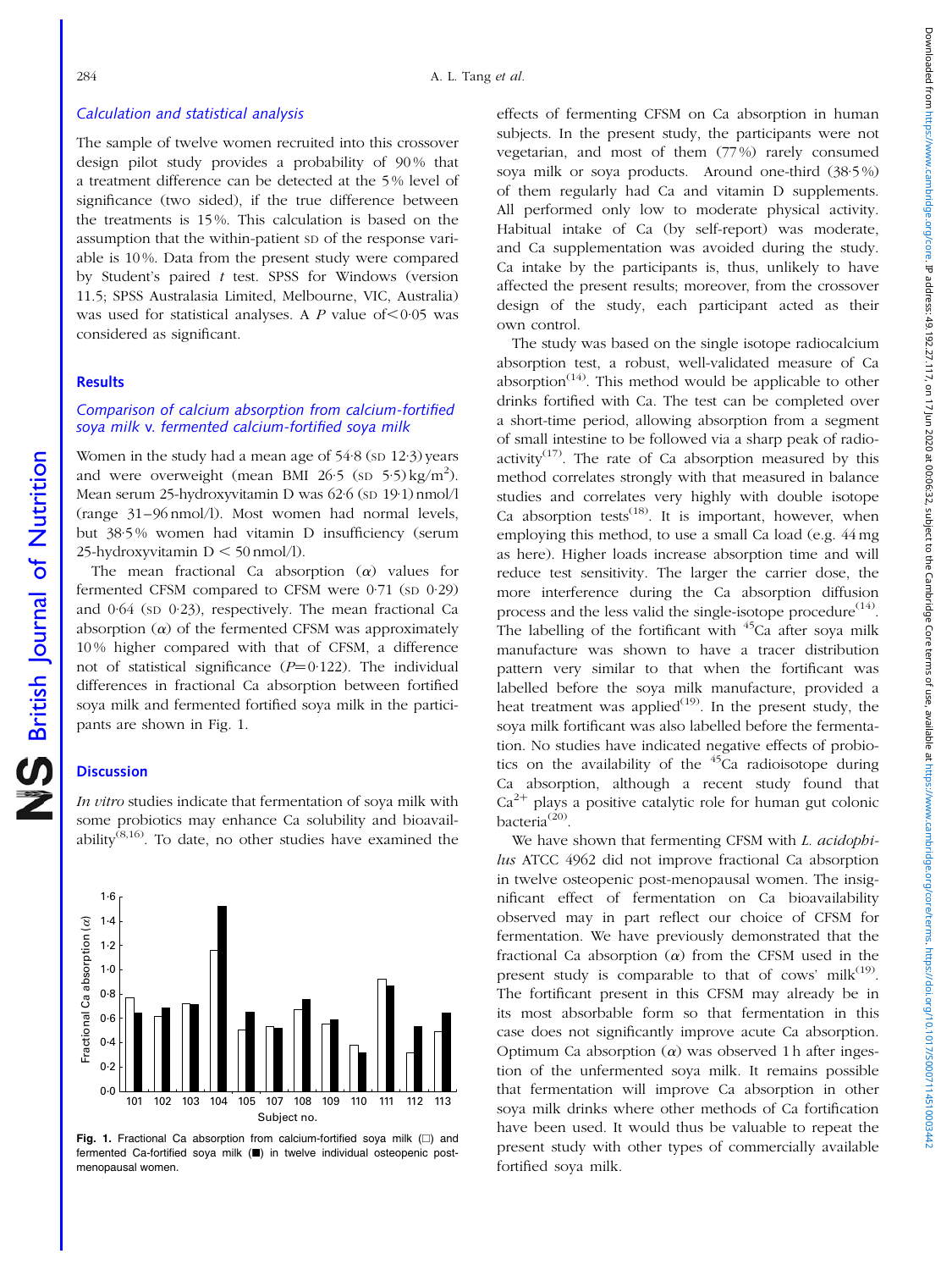#### <span id="page-3-0"></span>Calculation and statistical analysis

The sample of twelve women recruited into this crossover design pilot study provides a probability of 90 % that a treatment difference can be detected at the 5 % level of significance (two sided), if the true difference between the treatments is 15 %. This calculation is based on the assumption that the within-patient SD of the response variable is 10 %. Data from the present study were compared by Student's paired  $t$  test. SPSS for Windows (version 11.5; SPSS Australasia Limited, Melbourne, VIC, Australia) was used for statistical analyses. A P value of  $\leq 0.05$  was considered as significant.

#### Results

British Journal of Nutrition

**S** British Journal of Nutrition

#### Comparison of calcium absorption from calcium-fortified soya milk v. fermented calcium-fortified soya milk

Women in the study had a mean age of  $54.8$  (sp  $12.3$ ) years and were overweight (mean BMI  $26·5$  (sp  $5·5$ ) kg/m<sup>2</sup>). Mean serum 25-hydroxyvitamin D was 62.6 (SD 19.1) nmol/l (range 31–96 nmol/l). Most women had normal levels, but 38·5 % women had vitamin D insufficiency (serum 25-hydroxyvitamin  $D < 50$  nmol/l).

The mean fractional Ca absorption  $(\alpha)$  values for fermented CFSM compared to CFSM were 0·71 (SD 0·29) and 0·64 (SD 0·23), respectively. The mean fractional Ca absorption  $(\alpha)$  of the fermented CFSM was approximately 10 % higher compared with that of CFSM, a difference not of statistical significance  $(P=0.122)$ . The individual differences in fractional Ca absorption between fortified soya milk and fermented fortified soya milk in the participants are shown in Fig. 1.

#### **Discussion**



In vitro studies indicate that fermentation of soya milk with some probiotics may enhance Ca solubility and bioavailability $^{(8,16)}$ . To date, no other studies have examined the

Fig. 1. Fractional Ca absorption from calcium-fortified soya milk  $(\Box)$  and fermented Ca-fortified soya milk ( $\blacksquare$ ) in twelve individual osteopenic postmenopausal women.

effects of fermenting CFSM on Ca absorption in human subjects. In the present study, the participants were not vegetarian, and most of them (77 %) rarely consumed soya milk or soya products. Around one-third (38·5 %) of them regularly had Ca and vitamin D supplements. All performed only low to moderate physical activity. Habitual intake of Ca (by self-report) was moderate, and Ca supplementation was avoided during the study. Ca intake by the participants is, thus, unlikely to have affected the present results; moreover, from the crossover design of the study, each participant acted as their own control.

The study was based on the single isotope radiocalcium absorption test, a robust, well-validated measure of Ca absorption<sup> $(14)$ </sup>. This method would be applicable to other drinks fortified with Ca. The test can be completed over a short-time period, allowing absorption from a segment of small intestine to be followed via a sharp peak of radioactivity<sup> $(17)$ </sup>. The rate of Ca absorption measured by this method correlates strongly with that measured in balance studies and correlates very highly with double isotope Ca absorption tests<sup> $(18)$ </sup>. It is important, however, when employing this method, to use a small Ca load (e.g. 44 mg as here). Higher loads increase absorption time and will reduce test sensitivity. The larger the carrier dose, the more interference during the Ca absorption diffusion process and the less valid the single-isotope procedure $(14)$ . The labelling of the fortificant with  $45$ Ca after soya milk manufacture was shown to have a tracer distribution pattern very similar to that when the fortificant was labelled before the soya milk manufacture, provided a heat treatment was applied<sup> $(19)$ </sup>. In the present study, the soya milk fortificant was also labelled before the fermentation. No studies have indicated negative effects of probiotics on the availability of the  $45$ Ca radioisotope during Ca absorption, although a recent study found that  $Ca<sup>2+</sup>$  plays a positive catalytic role for human gut colonic bacteria $^{(20)}$ .

We have shown that fermenting CFSM with L. acidophilus ATCC 4962 did not improve fractional Ca absorption in twelve osteopenic post-menopausal women. The insignificant effect of fermentation on Ca bioavailability observed may in part reflect our choice of CFSM for fermentation. We have previously demonstrated that the fractional Ca absorption  $(\alpha)$  from the CFSM used in the present study is comparable to that of cows' milk $(19)$ . The fortificant present in this CFSM may already be in its most absorbable form so that fermentation in this case does not significantly improve acute Ca absorption. Optimum Ca absorption  $(\alpha)$  was observed 1h after ingestion of the unfermented soya milk. It remains possible that fermentation will improve Ca absorption in other soya milk drinks where other methods of Ca fortification have been used. It would thus be valuable to repeat the present study with other types of commercially available fortified soya milk.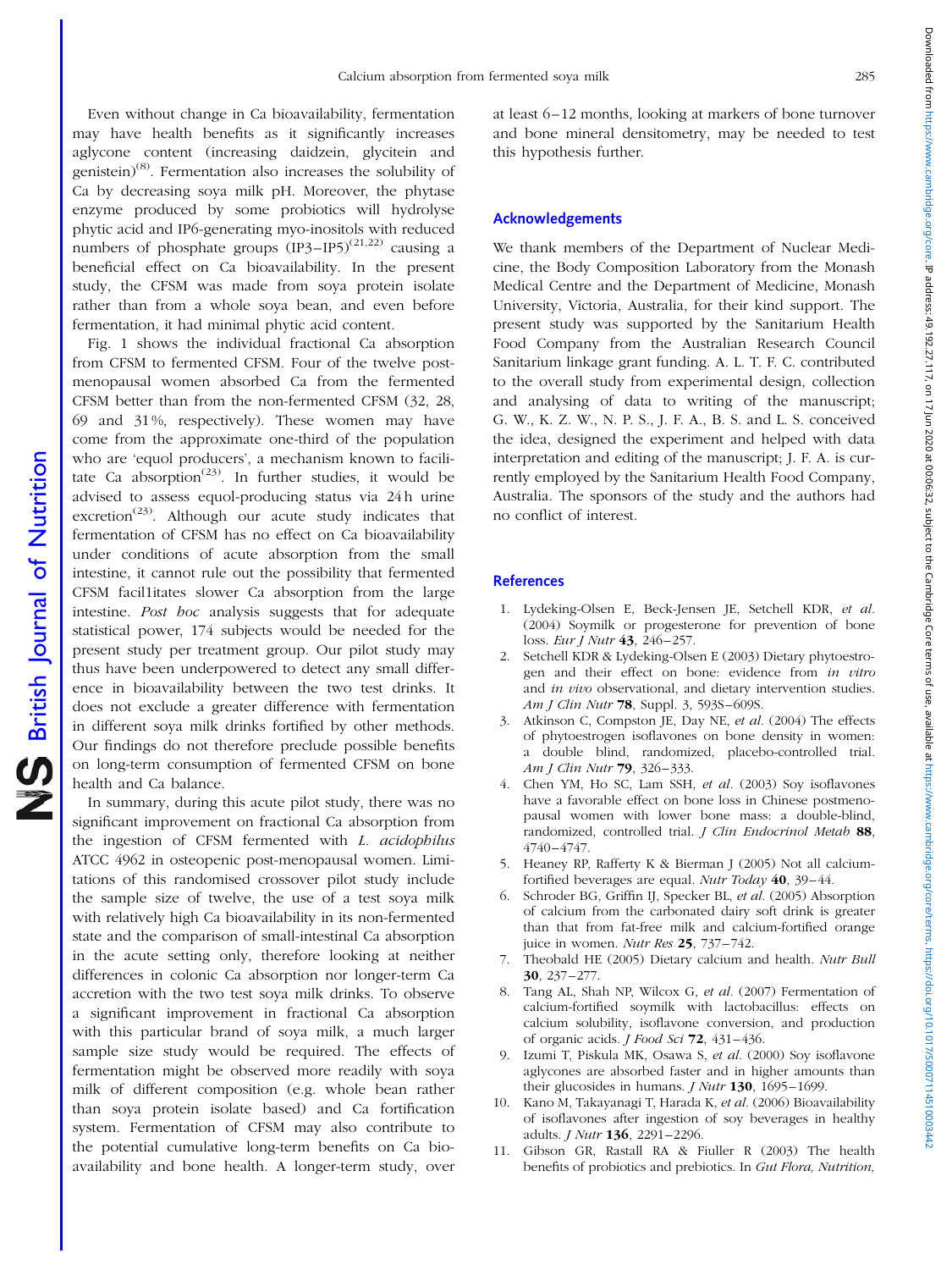Even without change in Ca bioavailability, fermentation may have health benefits as it significantly increases aglycone content (increasing daidzein, glycitein and genistein) $^{(8)}$ . Fermentation also increases the solubility of Ca by decreasing soya milk pH. Moreover, the phytase enzyme produced by some probiotics will hydrolyse phytic acid and IP6-generating myo-inositols with reduced numbers of phosphate groups  $(IP3-IP5)^{(21,22)}$  causing a beneficial effect on Ca bioavailability. In the present study, the CFSM was made from soya protein isolate rather than from a whole soya bean, and even before fermentation, it had minimal phytic acid content.

[Fig. 1](#page-3-0) shows the individual fractional Ca absorption from CFSM to fermented CFSM. Four of the twelve postmenopausal women absorbed Ca from the fermented CFSM better than from the non-fermented CFSM (32, 28, 69 and 31 %, respectively). These women may have come from the approximate one-third of the population who are 'equol producers', a mechanism known to facilitate Ca absorption<sup>(23)</sup>. In further studies, it would be advised to assess equol-producing status via 24 h urine excretion<sup>(23)</sup>. Although our acute study indicates that fermentation of CFSM has no effect on Ca bioavailability under conditions of acute absorption from the small intestine, it cannot rule out the possibility that fermented CFSM facil1itates slower Ca absorption from the large intestine. Post hoc analysis suggests that for adequate statistical power, 174 subjects would be needed for the present study per treatment group. Our pilot study may thus have been underpowered to detect any small difference in bioavailability between the two test drinks. It does not exclude a greater difference with fermentation in different soya milk drinks fortified by other methods. Our findings do not therefore preclude possible benefits on long-term consumption of fermented CFSM on bone health and Ca balance.

British Journal of Nutrition

NS British Journal of Nutrition

In summary, during this acute pilot study, there was no significant improvement on fractional Ca absorption from the ingestion of CFSM fermented with L. acidophilus ATCC 4962 in osteopenic post-menopausal women. Limitations of this randomised crossover pilot study include the sample size of twelve, the use of a test soya milk with relatively high Ca bioavailability in its non-fermented state and the comparison of small-intestinal Ca absorption in the acute setting only, therefore looking at neither differences in colonic Ca absorption nor longer-term Ca accretion with the two test soya milk drinks. To observe a significant improvement in fractional Ca absorption with this particular brand of soya milk, a much larger sample size study would be required. The effects of fermentation might be observed more readily with soya milk of different composition (e.g. whole bean rather than soya protein isolate based) and Ca fortification system. Fermentation of CFSM may also contribute to the potential cumulative long-term benefits on Ca bioavailability and bone health. A longer-term study, over at least 6–12 months, looking at markers of bone turnover and bone mineral densitometry, may be needed to test this hypothesis further.

#### Acknowledgements

We thank members of the Department of Nuclear Medicine, the Body Composition Laboratory from the Monash Medical Centre and the Department of Medicine, Monash University, Victoria, Australia, for their kind support. The present study was supported by the Sanitarium Health Food Company from the Australian Research Council Sanitarium linkage grant funding. A. L. T. F. C. contributed to the overall study from experimental design, collection and analysing of data to writing of the manuscript; G. W., K. Z. W., N. P. S., J. F. A., B. S. and L. S. conceived the idea, designed the experiment and helped with data interpretation and editing of the manuscript; J. F. A. is currently employed by the Sanitarium Health Food Company, Australia. The sponsors of the study and the authors had no conflict of interest.

#### **References**

- 1. Lydeking-Olsen E, Beck-Jensen JE, Setchell KDR, et al. (2004) Soymilk or progesterone for prevention of bone loss. *Eur J Nutr* 43, 246–257.
- 2. Setchell KDR & Lydeking-Olsen E (2003) Dietary phytoestrogen and their effect on bone: evidence from in vitro and *in vivo* observational, and dietary intervention studies. Am J Clin Nutr 78, Suppl. 3, 593S–609S.
- 3. Atkinson C, Compston JE, Day NE, et al. (2004) The effects of phytoestrogen isoflavones on bone density in women: a double blind, randomized, placebo-controlled trial. Am J Clin Nutr 79, 326–333.
- 4. Chen YM, Ho SC, Lam SSH, et al. (2003) Soy isoflavones have a favorable effect on bone loss in Chinese postmenopausal women with lower bone mass: a double-blind, randomized, controlled trial.  $J$  Clin Endocrinol Metab  $88$ , 4740–4747.
- 5. Heaney RP, Rafferty K & Bierman J (2005) Not all calciumfortified beverages are equal. Nutr Today 40, 39–44.
- 6. Schroder BG, Griffin IJ, Specker BL, et al. (2005) Absorption of calcium from the carbonated dairy soft drink is greater than that from fat-free milk and calcium-fortified orange juice in women. Nutr Res 25, 737–742.
- 7. Theobald HE (2005) Dietary calcium and health. Nutr Bull 30, 237–277.
- 8. Tang AL, Shah NP, Wilcox G, et al. (2007) Fermentation of calcium-fortified soymilk with lactobacillus: effects on calcium solubility, isoflavone conversion, and production of organic acids. J Food Sci 72, 431–436.
- 9. Izumi T, Piskula MK, Osawa S, et al. (2000) Soy isoflavone aglycones are absorbed faster and in higher amounts than their glucosides in humans. *J Nutr* 130, 1695-1699.
- 10. Kano M, Takayanagi T, Harada K, et al. (2006) Bioavailability of isoflavones after ingestion of soy beverages in healthy adults. J Nutr 136, 2291–2296.
- 11. Gibson GR, Rastall RA & Fiuller R (2003) The health benefits of probiotics and prebiotics. In Gut Flora, Nutrition,